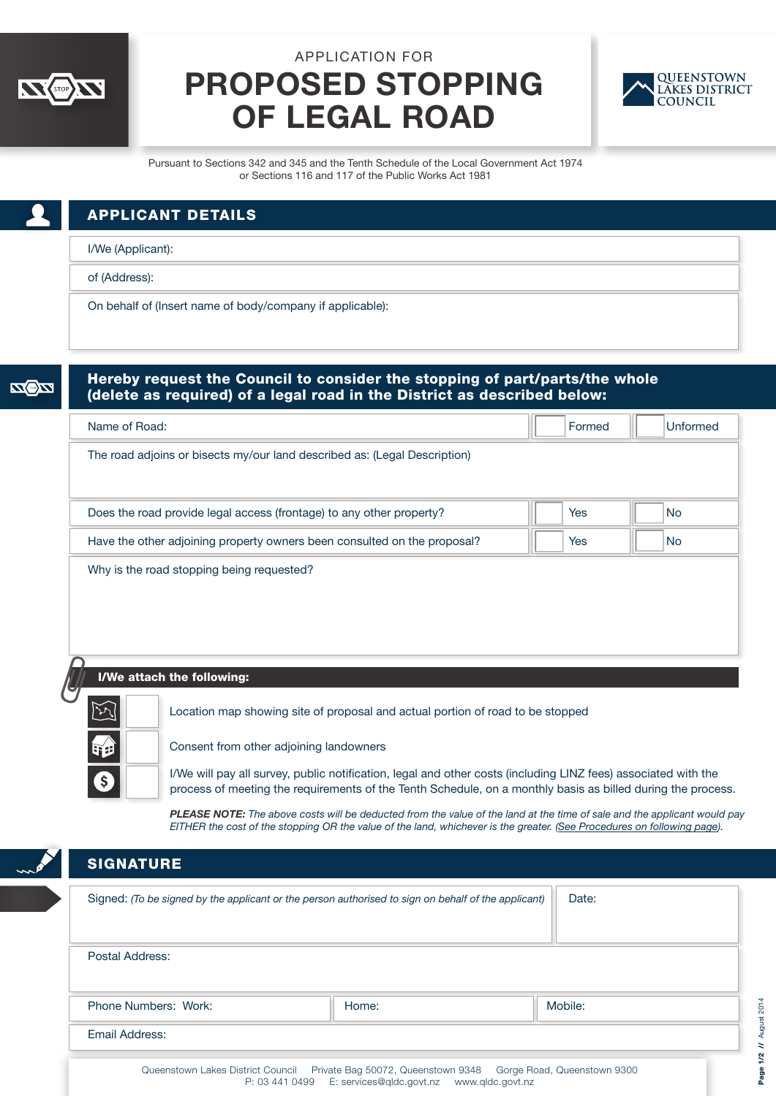

## APPLICATION FOR PROPOSED STOPPING OF LEGAL ROAD



Pursuant to Sections 342 and 345 and the Tenth Schedule of the Local Government Act 1974 or Sections 116 and 117 of the Public Works Act 1981

| <b>APPLICANT DETAILS</b>                                  |  |
|-----------------------------------------------------------|--|
| I/We (Applicant):                                         |  |
| of (Address):                                             |  |
| On behalf of (Insert name of body/company if applicable): |  |

| Hereby request the Council to consider the stopping of part/parts/the whole<br>(delete as required) of a legal road in the District as described below: |            |           |
|---------------------------------------------------------------------------------------------------------------------------------------------------------|------------|-----------|
| Name of Road:                                                                                                                                           | Formed     | Unformed  |
| The road adjoins or bisects my/our land described as: (Legal Description)                                                                               |            |           |
| Does the road provide legal access (frontage) to any other property?                                                                                    | <b>Yes</b> | <b>No</b> |
| Have the other adjoining property owners been consulted on the proposal?                                                                                | Yes        | <b>No</b> |
| Why is the road stopping being requested?                                                                                                               |            |           |

I/We attach the following:



Location map showing site of proposal and actual portion of road to be stopped

Consent from other adjoining landowners

I/We will pay all survey, public notification, legal and other costs (including LINZ fees) associated with the process of meeting the requirements of the Tenth Schedule, on a monthly basis as billed during the process.

*PLEASE NOTE: The above costs will be deducted from the value of the land at the time of sale and the applicant would pay EITHER the cost of the stopping OR the value of the land, whichever is the greater. [\(See Procedures on following page\).](#page-1-0)*

## **SIGNATURE**

| Signed: (To be signed by the applicant or the person authorised to sign on behalf of the applicant)                                                                  | Date: |         |  |  |
|----------------------------------------------------------------------------------------------------------------------------------------------------------------------|-------|---------|--|--|
| Postal Address:                                                                                                                                                      |       |         |  |  |
| Phone Numbers: Work:                                                                                                                                                 | Home: | Mobile: |  |  |
| Email Address:                                                                                                                                                       |       |         |  |  |
| Private Bag 50072, Queenstown 9348 Gorge Road, Queenstown 9300<br>Queenstown Lakes District Council<br>E: services@gldc.govt.nz   www.gldc.govt.nz<br>P: 03 441 0499 |       |         |  |  |